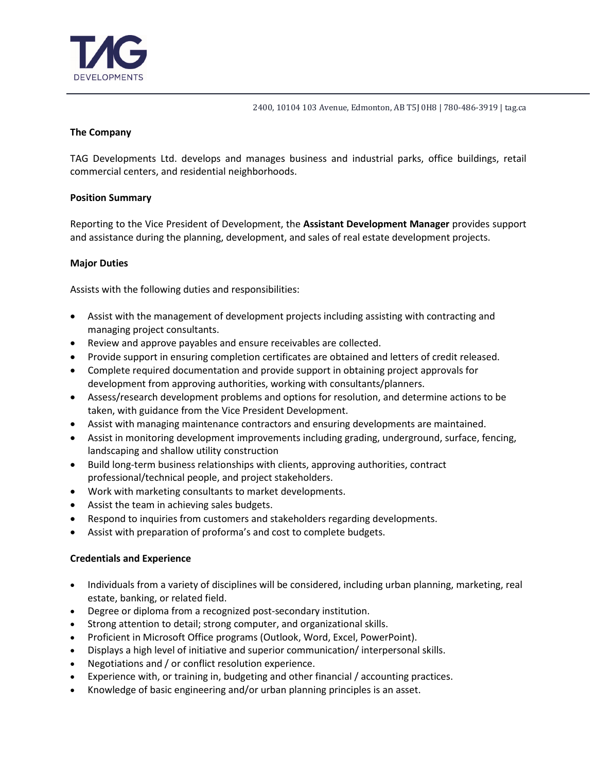

2400, 10104 103 Avenue, Edmonton, AB T5J 0H8 | 780-486-3919 | tag.ca

## **The Company**

TAG Developments Ltd. develops and manages business and industrial parks, office buildings, retail commercial centers, and residential neighborhoods.

## **Position Summary**

Reporting to the Vice President of Development, the **Assistant Development Manager** provides support and assistance during the planning, development, and sales of real estate development projects.

# **Major Duties**

Assists with the following duties and responsibilities:

- Assist with the management of development projects including assisting with contracting and managing project consultants.
- Review and approve payables and ensure receivables are collected.
- Provide support in ensuring completion certificates are obtained and letters of credit released.
- Complete required documentation and provide support in obtaining project approvals for development from approving authorities, working with consultants/planners.
- Assess/research development problems and options for resolution, and determine actions to be taken, with guidance from the Vice President Development.
- Assist with managing maintenance contractors and ensuring developments are maintained.
- Assist in monitoring development improvements including grading, underground, surface, fencing, landscaping and shallow utility construction
- Build long-term business relationships with clients, approving authorities, contract professional/technical people, and project stakeholders.
- Work with marketing consultants to market developments.
- Assist the team in achieving sales budgets.
- Respond to inquiries from customers and stakeholders regarding developments.
- Assist with preparation of proforma's and cost to complete budgets.

## **Credentials and Experience**

- Individuals from a variety of disciplines will be considered, including urban planning, marketing, real estate, banking, or related field.
- Degree or diploma from a recognized post-secondary institution.
- Strong attention to detail; strong computer, and organizational skills.
- Proficient in Microsoft Office programs (Outlook, Word, Excel, PowerPoint).
- Displays a high level of initiative and superior communication/ interpersonal skills.
- Negotiations and / or conflict resolution experience.
- Experience with, or training in, budgeting and other financial / accounting practices.
- Knowledge of basic engineering and/or urban planning principles is an asset.